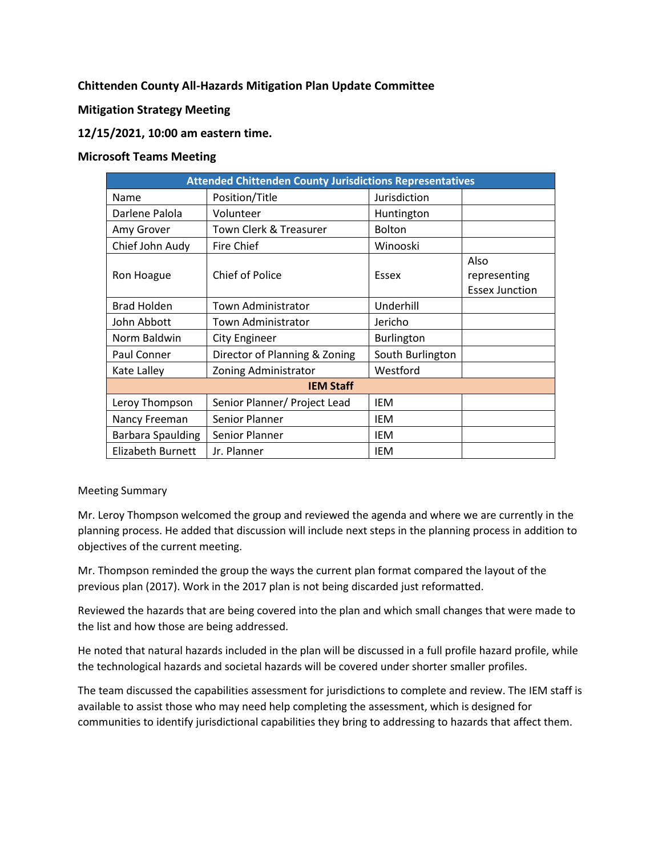# **Chittenden County All-Hazards Mitigation Plan Update Committee**

## **Mitigation Strategy Meeting**

# **12/15/2021, 10:00 am eastern time.**

### **Microsoft Teams Meeting**

| <b>Attended Chittenden County Jurisdictions Representatives</b> |                               |                   |                                               |
|-----------------------------------------------------------------|-------------------------------|-------------------|-----------------------------------------------|
| Name                                                            | Position/Title                | Jurisdiction      |                                               |
| Darlene Palola                                                  | Volunteer                     | Huntington        |                                               |
| Amy Grover                                                      | Town Clerk & Treasurer        | <b>Bolton</b>     |                                               |
| Chief John Audy                                                 | <b>Fire Chief</b>             | Winooski          |                                               |
| Ron Hoague                                                      | <b>Chief of Police</b>        | Essex             | Also<br>representing<br><b>Essex Junction</b> |
| <b>Brad Holden</b>                                              | <b>Town Administrator</b>     | Underhill         |                                               |
| John Abbott                                                     | Town Administrator            | Jericho           |                                               |
| Norm Baldwin                                                    | City Engineer                 | <b>Burlington</b> |                                               |
| Paul Conner                                                     | Director of Planning & Zoning | South Burlington  |                                               |
| Kate Lalley                                                     | Zoning Administrator          | Westford          |                                               |
| <b>IEM Staff</b>                                                |                               |                   |                                               |
| Leroy Thompson                                                  | Senior Planner/ Project Lead  | <b>IEM</b>        |                                               |
| Nancy Freeman                                                   | Senior Planner                | <b>IEM</b>        |                                               |
| Barbara Spaulding                                               | Senior Planner                | <b>IEM</b>        |                                               |
| Elizabeth Burnett                                               | Jr. Planner                   | IEM               |                                               |

#### Meeting Summary

Mr. Leroy Thompson welcomed the group and reviewed the agenda and where we are currently in the planning process. He added that discussion will include next steps in the planning process in addition to objectives of the current meeting.

Mr. Thompson reminded the group the ways the current plan format compared the layout of the previous plan (2017). Work in the 2017 plan is not being discarded just reformatted.

Reviewed the hazards that are being covered into the plan and which small changes that were made to the list and how those are being addressed.

He noted that natural hazards included in the plan will be discussed in a full profile hazard profile, while the technological hazards and societal hazards will be covered under shorter smaller profiles.

The team discussed the capabilities assessment for jurisdictions to complete and review. The IEM staff is available to assist those who may need help completing the assessment, which is designed for communities to identify jurisdictional capabilities they bring to addressing to hazards that affect them.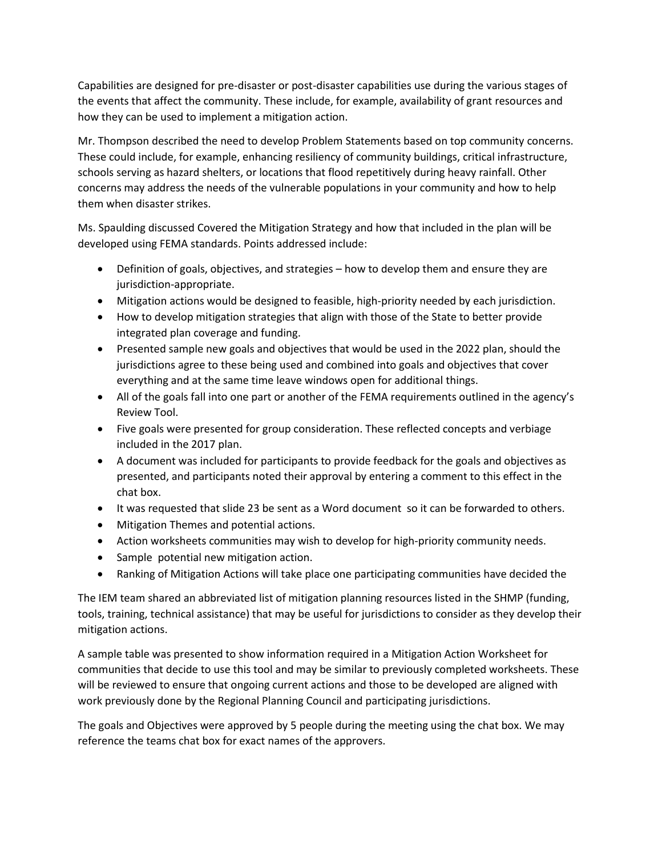Capabilities are designed for pre-disaster or post-disaster capabilities use during the various stages of the events that affect the community. These include, for example, availability of grant resources and how they can be used to implement a mitigation action.

Mr. Thompson described the need to develop Problem Statements based on top community concerns. These could include, for example, enhancing resiliency of community buildings, critical infrastructure, schools serving as hazard shelters, or locations that flood repetitively during heavy rainfall. Other concerns may address the needs of the vulnerable populations in your community and how to help them when disaster strikes.

Ms. Spaulding discussed Covered the Mitigation Strategy and how that included in the plan will be developed using FEMA standards. Points addressed include:

- Definition of goals, objectives, and strategies how to develop them and ensure they are jurisdiction-appropriate.
- Mitigation actions would be designed to feasible, high-priority needed by each jurisdiction.
- How to develop mitigation strategies that align with those of the State to better provide integrated plan coverage and funding.
- Presented sample new goals and objectives that would be used in the 2022 plan, should the jurisdictions agree to these being used and combined into goals and objectives that cover everything and at the same time leave windows open for additional things.
- All of the goals fall into one part or another of the FEMA requirements outlined in the agency's Review Tool.
- Five goals were presented for group consideration. These reflected concepts and verbiage included in the 2017 plan.
- A document was included for participants to provide feedback for the goals and objectives as presented, and participants noted their approval by entering a comment to this effect in the chat box.
- It was requested that slide 23 be sent as a Word document so it can be forwarded to others.
- Mitigation Themes and potential actions.
- Action worksheets communities may wish to develop for high-priority community needs.
- Sample potential new mitigation action.
- Ranking of Mitigation Actions will take place one participating communities have decided the

The IEM team shared an abbreviated list of mitigation planning resources listed in the SHMP (funding, tools, training, technical assistance) that may be useful for jurisdictions to consider as they develop their mitigation actions.

A sample table was presented to show information required in a Mitigation Action Worksheet for communities that decide to use this tool and may be similar to previously completed worksheets. These will be reviewed to ensure that ongoing current actions and those to be developed are aligned with work previously done by the Regional Planning Council and participating jurisdictions.

The goals and Objectives were approved by 5 people during the meeting using the chat box. We may reference the teams chat box for exact names of the approvers.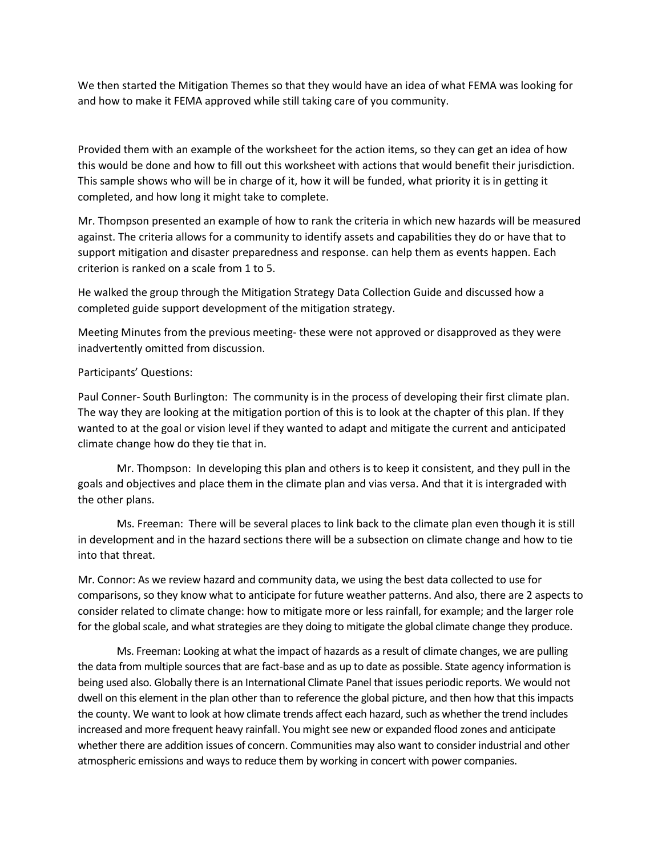We then started the Mitigation Themes so that they would have an idea of what FEMA was looking for and how to make it FEMA approved while still taking care of you community.

Provided them with an example of the worksheet for the action items, so they can get an idea of how this would be done and how to fill out this worksheet with actions that would benefit their jurisdiction. This sample shows who will be in charge of it, how it will be funded, what priority it is in getting it completed, and how long it might take to complete.

Mr. Thompson presented an example of how to rank the criteria in which new hazards will be measured against. The criteria allows for a community to identify assets and capabilities they do or have that to support mitigation and disaster preparedness and response. can help them as events happen. Each criterion is ranked on a scale from 1 to 5.

He walked the group through the Mitigation Strategy Data Collection Guide and discussed how a completed guide support development of the mitigation strategy.

Meeting Minutes from the previous meeting- these were not approved or disapproved as they were inadvertently omitted from discussion.

#### Participants' Questions:

Paul Conner- South Burlington: The community is in the process of developing their first climate plan. The way they are looking at the mitigation portion of this is to look at the chapter of this plan. If they wanted to at the goal or vision level if they wanted to adapt and mitigate the current and anticipated climate change how do they tie that in.

Mr. Thompson: In developing this plan and others is to keep it consistent, and they pull in the goals and objectives and place them in the climate plan and vias versa. And that it is intergraded with the other plans.

Ms. Freeman: There will be several places to link back to the climate plan even though it is still in development and in the hazard sections there will be a subsection on climate change and how to tie into that threat.

Mr. Connor: As we review hazard and community data, we using the best data collected to use for comparisons, so they know what to anticipate for future weather patterns. And also, there are 2 aspects to consider related to climate change: how to mitigate more or less rainfall, for example; and the larger role for the global scale, and what strategies are they doing to mitigate the global climate change they produce.

Ms. Freeman: Looking at what the impact of hazards as a result of climate changes, we are pulling the data from multiple sources that are fact-base and as up to date as possible. State agency information is being used also. Globally there is an International Climate Panel that issues periodic reports. We would not dwell on this element in the plan other than to reference the global picture, and then how that this impacts the county. We want to look at how climate trends affect each hazard, such as whether the trend includes increased and more frequent heavy rainfall. You might see new or expanded flood zones and anticipate whether there are addition issues of concern. Communities may also want to consider industrial and other atmospheric emissions and ways to reduce them by working in concert with power companies.